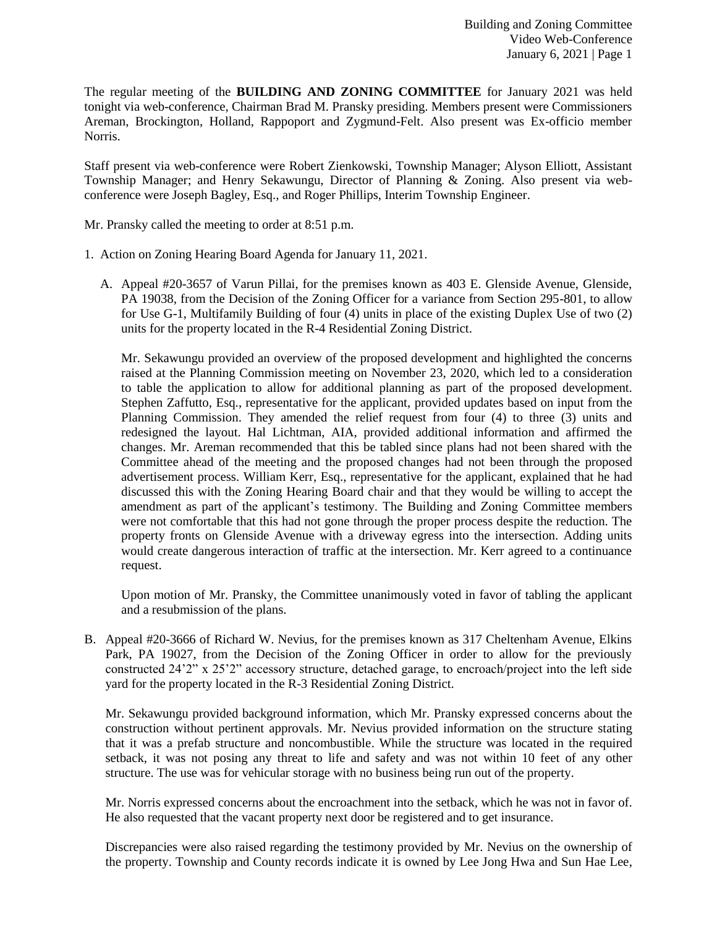The regular meeting of the **BUILDING AND ZONING COMMITTEE** for January 2021 was held tonight via web-conference, Chairman Brad M. Pransky presiding. Members present were Commissioners Areman, Brockington, Holland, Rappoport and Zygmund-Felt. Also present was Ex-officio member Norris.

Staff present via web-conference were Robert Zienkowski, Township Manager; Alyson Elliott, Assistant Township Manager; and Henry Sekawungu, Director of Planning & Zoning. Also present via webconference were Joseph Bagley, Esq., and Roger Phillips, Interim Township Engineer.

Mr. Pransky called the meeting to order at 8:51 p.m.

- 1. Action on Zoning Hearing Board Agenda for January 11, 2021.
	- A. Appeal #20-3657 of Varun Pillai, for the premises known as 403 E. Glenside Avenue, Glenside, PA 19038, from the Decision of the Zoning Officer for a variance from Section 295-801, to allow for Use G-1, Multifamily Building of four (4) units in place of the existing Duplex Use of two (2) units for the property located in the R-4 Residential Zoning District.

Mr. Sekawungu provided an overview of the proposed development and highlighted the concerns raised at the Planning Commission meeting on November 23, 2020, which led to a consideration to table the application to allow for additional planning as part of the proposed development. Stephen Zaffutto, Esq., representative for the applicant, provided updates based on input from the Planning Commission. They amended the relief request from four (4) to three (3) units and redesigned the layout. Hal Lichtman, AIA, provided additional information and affirmed the changes. Mr. Areman recommended that this be tabled since plans had not been shared with the Committee ahead of the meeting and the proposed changes had not been through the proposed advertisement process. William Kerr, Esq., representative for the applicant, explained that he had discussed this with the Zoning Hearing Board chair and that they would be willing to accept the amendment as part of the applicant's testimony. The Building and Zoning Committee members were not comfortable that this had not gone through the proper process despite the reduction. The property fronts on Glenside Avenue with a driveway egress into the intersection. Adding units would create dangerous interaction of traffic at the intersection. Mr. Kerr agreed to a continuance request.

Upon motion of Mr. Pransky, the Committee unanimously voted in favor of tabling the applicant and a resubmission of the plans.

B. Appeal #20-3666 of Richard W. Nevius, for the premises known as 317 Cheltenham Avenue, Elkins Park, PA 19027, from the Decision of the Zoning Officer in order to allow for the previously constructed 24'2" x 25'2" accessory structure, detached garage, to encroach/project into the left side yard for the property located in the R-3 Residential Zoning District.

Mr. Sekawungu provided background information, which Mr. Pransky expressed concerns about the construction without pertinent approvals. Mr. Nevius provided information on the structure stating that it was a prefab structure and noncombustible. While the structure was located in the required setback, it was not posing any threat to life and safety and was not within 10 feet of any other structure. The use was for vehicular storage with no business being run out of the property.

Mr. Norris expressed concerns about the encroachment into the setback, which he was not in favor of. He also requested that the vacant property next door be registered and to get insurance.

Discrepancies were also raised regarding the testimony provided by Mr. Nevius on the ownership of the property. Township and County records indicate it is owned by Lee Jong Hwa and Sun Hae Lee,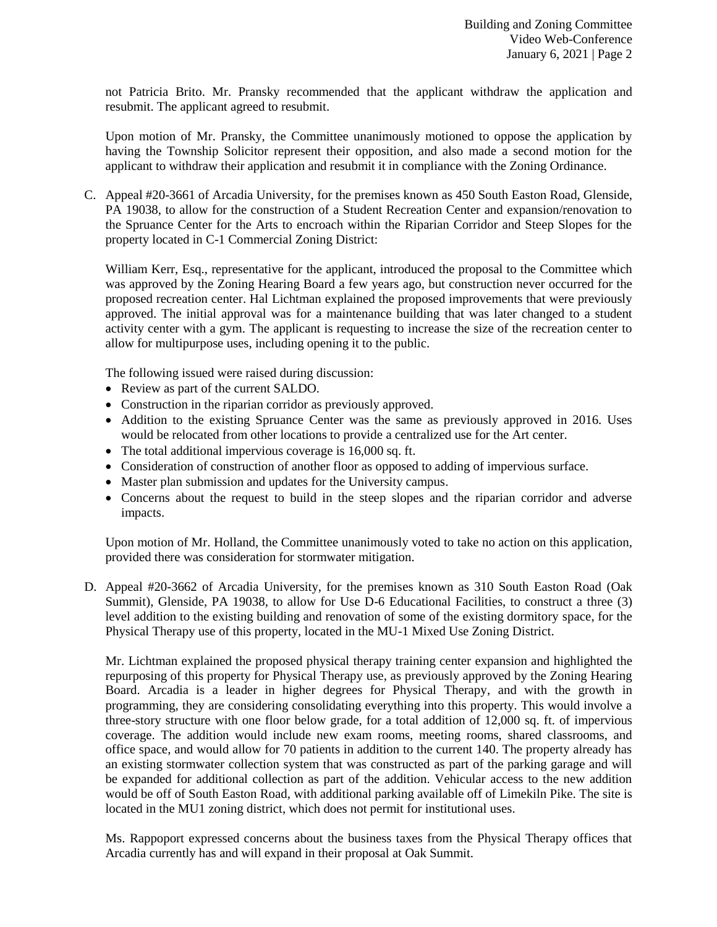not Patricia Brito. Mr. Pransky recommended that the applicant withdraw the application and resubmit. The applicant agreed to resubmit.

Upon motion of Mr. Pransky, the Committee unanimously motioned to oppose the application by having the Township Solicitor represent their opposition, and also made a second motion for the applicant to withdraw their application and resubmit it in compliance with the Zoning Ordinance.

C. Appeal #20-3661 of Arcadia University, for the premises known as 450 South Easton Road, Glenside, PA 19038, to allow for the construction of a Student Recreation Center and expansion/renovation to the Spruance Center for the Arts to encroach within the Riparian Corridor and Steep Slopes for the property located in C-1 Commercial Zoning District:

William Kerr, Esq., representative for the applicant, introduced the proposal to the Committee which was approved by the Zoning Hearing Board a few years ago, but construction never occurred for the proposed recreation center. Hal Lichtman explained the proposed improvements that were previously approved. The initial approval was for a maintenance building that was later changed to a student activity center with a gym. The applicant is requesting to increase the size of the recreation center to allow for multipurpose uses, including opening it to the public.

The following issued were raised during discussion:

- Review as part of the current SALDO.
- Construction in the riparian corridor as previously approved.
- Addition to the existing Spruance Center was the same as previously approved in 2016. Uses would be relocated from other locations to provide a centralized use for the Art center.
- The total additional impervious coverage is 16,000 sq. ft.
- Consideration of construction of another floor as opposed to adding of impervious surface.
- Master plan submission and updates for the University campus.
- Concerns about the request to build in the steep slopes and the riparian corridor and adverse impacts.

Upon motion of Mr. Holland, the Committee unanimously voted to take no action on this application, provided there was consideration for stormwater mitigation.

D. Appeal #20-3662 of Arcadia University, for the premises known as 310 South Easton Road (Oak Summit), Glenside, PA 19038, to allow for Use D-6 Educational Facilities, to construct a three (3) level addition to the existing building and renovation of some of the existing dormitory space, for the Physical Therapy use of this property, located in the MU-1 Mixed Use Zoning District.

Mr. Lichtman explained the proposed physical therapy training center expansion and highlighted the repurposing of this property for Physical Therapy use, as previously approved by the Zoning Hearing Board. Arcadia is a leader in higher degrees for Physical Therapy, and with the growth in programming, they are considering consolidating everything into this property. This would involve a three-story structure with one floor below grade, for a total addition of 12,000 sq. ft. of impervious coverage. The addition would include new exam rooms, meeting rooms, shared classrooms, and office space, and would allow for 70 patients in addition to the current 140. The property already has an existing stormwater collection system that was constructed as part of the parking garage and will be expanded for additional collection as part of the addition. Vehicular access to the new addition would be off of South Easton Road, with additional parking available off of Limekiln Pike. The site is located in the MU1 zoning district, which does not permit for institutional uses.

Ms. Rappoport expressed concerns about the business taxes from the Physical Therapy offices that Arcadia currently has and will expand in their proposal at Oak Summit.